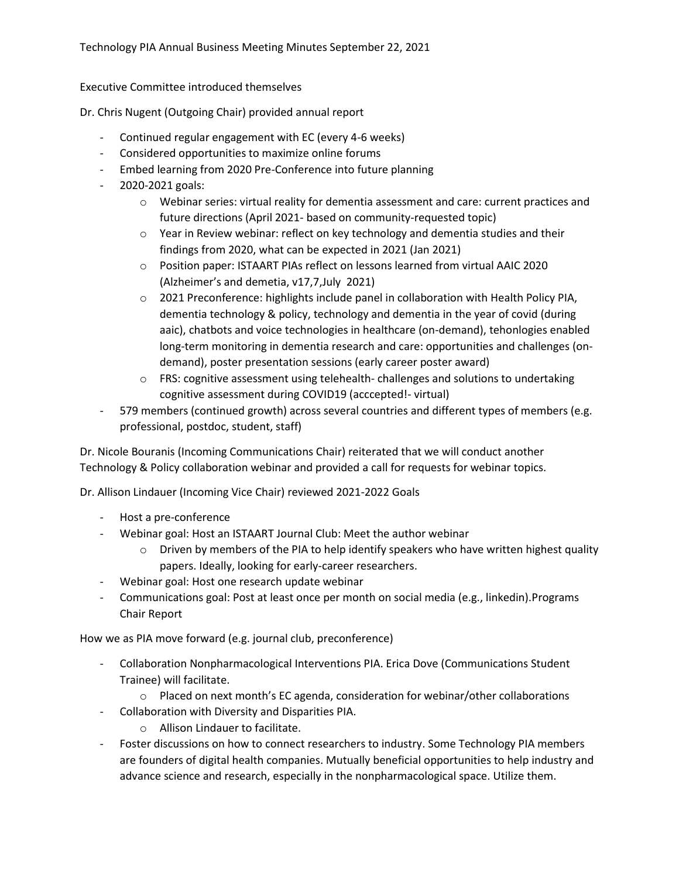Executive Committee introduced themselves

Dr. Chris Nugent (Outgoing Chair) provided annual report

- Continued regular engagement with EC (every 4-6 weeks)
- Considered opportunities to maximize online forums
- Embed learning from 2020 Pre-Conference into future planning
- 2020-2021 goals:
	- o Webinar series: virtual reality for dementia assessment and care: current practices and future directions (April 2021- based on community-requested topic)
	- $\circ$  Year in Review webinar: reflect on key technology and dementia studies and their findings from 2020, what can be expected in 2021 (Jan 2021)
	- o Position paper: ISTAART PIAs reflect on lessons learned from virtual AAIC 2020 (Alzheimer's and demetia, v17,7,July 2021)
	- o 2021 Preconference: highlights include panel in collaboration with Health Policy PIA, dementia technology & policy, technology and dementia in the year of covid (during aaic), chatbots and voice technologies in healthcare (on-demand), tehonlogies enabled long-term monitoring in dementia research and care: opportunities and challenges (ondemand), poster presentation sessions (early career poster award)
	- o FRS: cognitive assessment using telehealth- challenges and solutions to undertaking cognitive assessment during COVID19 (acccepted!- virtual)
- 579 members (continued growth) across several countries and different types of members (e.g. professional, postdoc, student, staff)

Dr. Nicole Bouranis (Incoming Communications Chair) reiterated that we will conduct another Technology & Policy collaboration webinar and provided a call for requests for webinar topics.

Dr. Allison Lindauer (Incoming Vice Chair) reviewed 2021-2022 Goals

- Host a pre-conference
- Webinar goal: Host an ISTAART Journal Club: Meet the author webinar
	- $\circ$  Driven by members of the PIA to help identify speakers who have written highest quality papers. Ideally, looking for early-career researchers.
- Webinar goal: Host one research update webinar
- Communications goal: Post at least once per month on social media (e.g., linkedin).Programs Chair Report

How we as PIA move forward (e.g. journal club, preconference)

- Collaboration Nonpharmacological Interventions PIA. Erica Dove (Communications Student Trainee) will facilitate.
	- $\circ$  Placed on next month's EC agenda, consideration for webinar/other collaborations
- Collaboration with Diversity and Disparities PIA.
	- o Allison Lindauer to facilitate.
- Foster discussions on how to connect researchers to industry. Some Technology PIA members are founders of digital health companies. Mutually beneficial opportunities to help industry and advance science and research, especially in the nonpharmacological space. Utilize them.